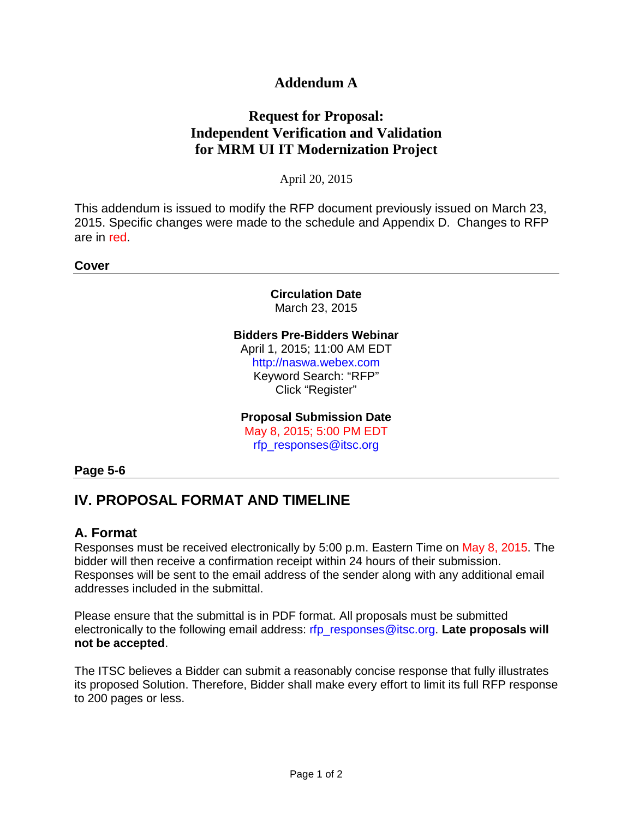# **Addendum A**

# **Request for Proposal: Independent Verification and Validation for MRM UI IT Modernization Project**

April 20, 2015

This addendum is issued to modify the RFP document previously issued on March 23, 2015. Specific changes were made to the schedule and Appendix D. Changes to RFP are in red.

**Cover**

**Circulation Date** March 23, 2015

#### **Bidders Pre-Bidders Webinar**

April 1, 2015; 11:00 AM EDT http://naswa.webex.com Keyword Search: "RFP" Click "Register"

#### **Proposal Submission Date**

May 8, 2015; 5:00 PM EDT rfp\_responses@itsc.org

#### **Page 5-6**

# **IV. PROPOSAL FORMAT AND TIMELINE**

### **A. Format**

Responses must be received electronically by 5:00 p.m. Eastern Time on May 8, 2015. The bidder will then receive a confirmation receipt within 24 hours of their submission. Responses will be sent to the email address of the sender along with any additional email addresses included in the submittal.

Please ensure that the submittal is in PDF format. All proposals must be submitted electronically to the following email address: rfp\_responses@itsc.org. **Late proposals will not be accepted**.

The ITSC believes a Bidder can submit a reasonably concise response that fully illustrates its proposed Solution. Therefore, Bidder shall make every effort to limit its full RFP response to 200 pages or less.